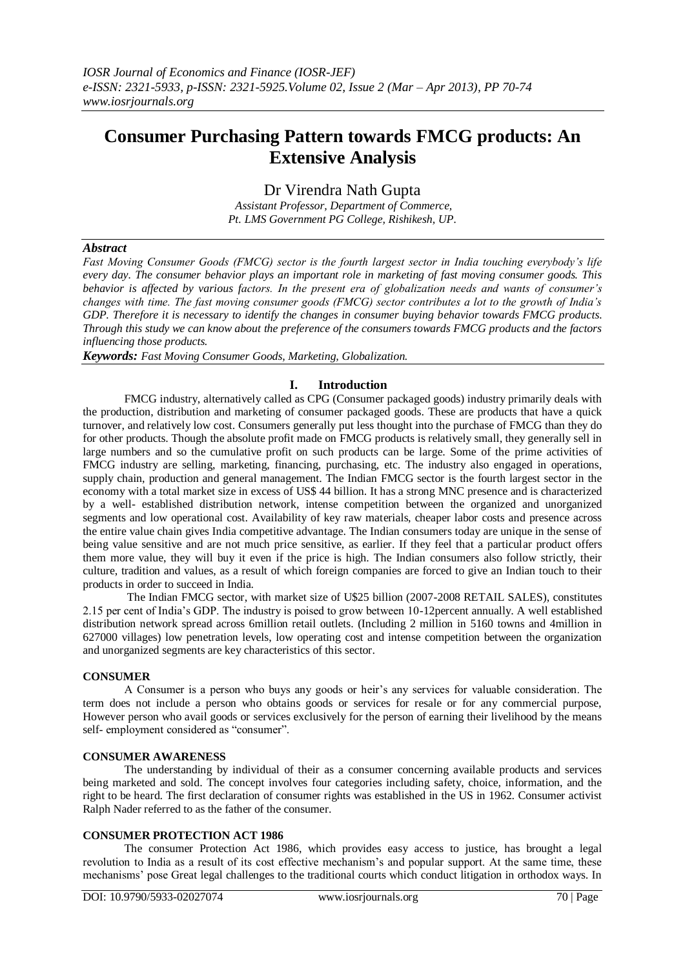# **Consumer Purchasing Pattern towards FMCG products: An Extensive Analysis**

Dr Virendra Nath Gupta

*Assistant Professor, Department of Commerce, Pt. LMS Government PG College, Rishikesh, UP.*

# *Abstract*

*Fast Moving Consumer Goods (FMCG) sector is the fourth largest sector in India touching everybody's life every day. The consumer behavior plays an important role in marketing of fast moving consumer goods. This behavior is affected by various factors. In the present era of globalization needs and wants of consumer's changes with time. The fast moving consumer goods (FMCG) sector contributes a lot to the growth of India's GDP. Therefore it is necessary to identify the changes in consumer buying behavior towards FMCG products. Through this study we can know about the preference of the consumers towards FMCG products and the factors influencing those products.*

*Keywords: Fast Moving Consumer Goods, Marketing, Globalization.*

# **I. Introduction**

FMCG industry, alternatively called as CPG (Consumer packaged goods) industry primarily deals with the production, distribution and marketing of consumer packaged goods. These are products that have a quick turnover, and relatively low cost. Consumers generally put less thought into the purchase of FMCG than they do for other products. Though the absolute profit made on FMCG products is relatively small, they generally sell in large numbers and so the cumulative profit on such products can be large. Some of the prime activities of FMCG industry are selling, marketing, financing, purchasing, etc. The industry also engaged in operations, supply chain, production and general management. The Indian FMCG sector is the fourth largest sector in the economy with a total market size in excess of US\$ 44 billion. It has a strong MNC presence and is characterized by a well- established distribution network, intense competition between the organized and unorganized segments and low operational cost. Availability of key raw materials, cheaper labor costs and presence across the entire value chain gives India competitive advantage. The Indian consumers today are unique in the sense of being value sensitive and are not much price sensitive, as earlier. If they feel that a particular product offers them more value, they will buy it even if the price is high. The Indian consumers also follow strictly, their culture, tradition and values, as a result of which foreign companies are forced to give an Indian touch to their products in order to succeed in India.

The Indian FMCG sector, with market size of U\$25 billion (2007-2008 RETAIL SALES), constitutes 2.15 per cent of India's GDP. The industry is poised to grow between 10-12percent annually. A well established distribution network spread across 6million retail outlets. (Including 2 million in 5160 towns and 4million in 627000 villages) low penetration levels, low operating cost and intense competition between the organization and unorganized segments are key characteristics of this sector.

# **CONSUMER**

A Consumer is a person who buys any goods or heir's any services for valuable consideration. The term does not include a person who obtains goods or services for resale or for any commercial purpose, However person who avail goods or services exclusively for the person of earning their livelihood by the means self- employment considered as "consumer".

## **CONSUMER AWARENESS**

The understanding by individual of their as a consumer concerning available products and services being marketed and sold. The concept involves four categories including safety, choice, information, and the right to be heard. The first declaration of consumer rights was established in the US in 1962. Consumer activist Ralph Nader referred to as the father of the consumer.

## **CONSUMER PROTECTION ACT 1986**

The consumer Protection Act 1986, which provides easy access to justice, has brought a legal revolution to India as a result of its cost effective mechanism's and popular support. At the same time, these mechanisms' pose Great legal challenges to the traditional courts which conduct litigation in orthodox ways. In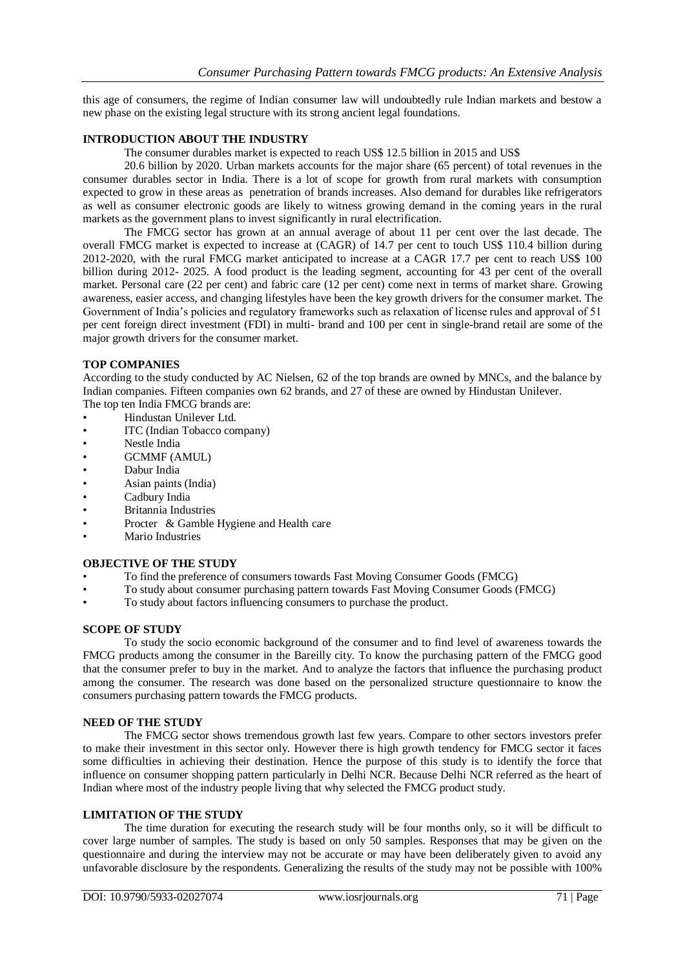this age of consumers, the regime of Indian consumer law will undoubtedly rule Indian markets and bestow a new phase on the existing legal structure with its strong ancient legal foundations.

# **INTRODUCTION ABOUT THE INDUSTRY**

The consumer durables market is expected to reach US\$ 12.5 billion in 2015 and US\$

20.6 billion by 2020. Urban markets accounts for the major share (65 percent) of total revenues in the consumer durables sector in India. There is a lot of scope for growth from rural markets with consumption expected to grow in these areas as penetration of brands increases. Also demand for durables like refrigerators as well as consumer electronic goods are likely to witness growing demand in the coming years in the rural markets as the government plans to invest significantly in rural electrification.

The FMCG sector has grown at an annual average of about 11 per cent over the last decade. The overall FMCG market is expected to increase at (CAGR) of 14.7 per cent to touch US\$ 110.4 billion during 2012-2020, with the rural FMCG market anticipated to increase at a CAGR 17.7 per cent to reach US\$ 100 billion during 2012- 2025. A food product is the leading segment, accounting for 43 per cent of the overall market. Personal care (22 per cent) and fabric care (12 per cent) come next in terms of market share. Growing awareness, easier access, and changing lifestyles have been the key growth drivers for the consumer market. The Government of India's policies and regulatory frameworks such as relaxation of license rules and approval of 51 per cent foreign direct investment (FDI) in multi- brand and 100 per cent in single-brand retail are some of the major growth drivers for the consumer market.

# **TOP COMPANIES**

According to the study conducted by AC Nielsen, 62 of the top brands are owned by MNCs, and the balance by Indian companies. Fifteen companies own 62 brands, and 27 of these are owned by Hindustan Unilever. The top ten India FMCG brands are:

- Hindustan Unilever Ltd.
- ITC (Indian Tobacco company)
- Nestle India
- GCMMF (AMUL)
- Dabur India
- Asian paints (India)
- Cadbury India
- Britannia Industries
- Procter & Gamble Hygiene and Health care
- Mario Industries

# **OBJECTIVE OF THE STUDY**

- To find the preference of consumers towards Fast Moving Consumer Goods (FMCG)
- To study about consumer purchasing pattern towards Fast Moving Consumer Goods (FMCG)
- To study about factors influencing consumers to purchase the product.

## **SCOPE OF STUDY**

To study the socio economic background of the consumer and to find level of awareness towards the FMCG products among the consumer in the Bareilly city. To know the purchasing pattern of the FMCG good that the consumer prefer to buy in the market. And to analyze the factors that influence the purchasing product among the consumer. The research was done based on the personalized structure questionnaire to know the consumers purchasing pattern towards the FMCG products.

## **NEED OF THE STUDY**

The FMCG sector shows tremendous growth last few years. Compare to other sectors investors prefer to make their investment in this sector only. However there is high growth tendency for FMCG sector it faces some difficulties in achieving their destination. Hence the purpose of this study is to identify the force that influence on consumer shopping pattern particularly in Delhi NCR. Because Delhi NCR referred as the heart of Indian where most of the industry people living that why selected the FMCG product study.

## **LIMITATION OF THE STUDY**

The time duration for executing the research study will be four months only, so it will be difficult to cover large number of samples. The study is based on only 50 samples. Responses that may be given on the questionnaire and during the interview may not be accurate or may have been deliberately given to avoid any unfavorable disclosure by the respondents. Generalizing the results of the study may not be possible with 100%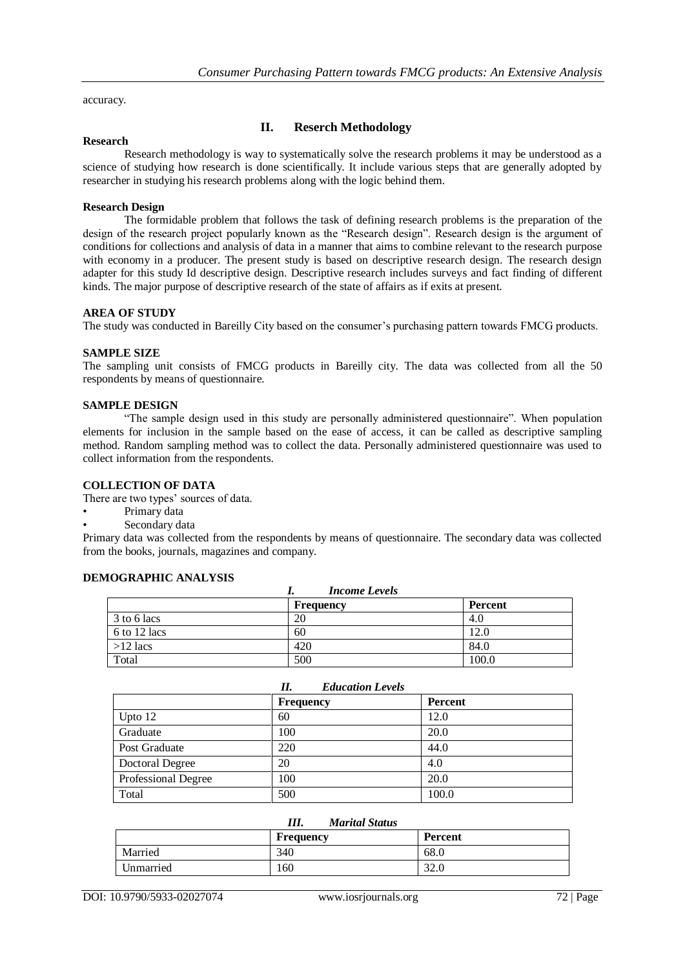accuracy.

#### **Research**

# **II. Reserch Methodology**

Research methodology is way to systematically solve the research problems it may be understood as a science of studying how research is done scientifically. It include various steps that are generally adopted by researcher in studying his research problems along with the logic behind them.

#### **Research Design**

The formidable problem that follows the task of defining research problems is the preparation of the design of the research project popularly known as the "Research design". Research design is the argument of conditions for collections and analysis of data in a manner that aims to combine relevant to the research purpose with economy in a producer. The present study is based on descriptive research design. The research design adapter for this study Id descriptive design. Descriptive research includes surveys and fact finding of different kinds. The major purpose of descriptive research of the state of affairs as if exits at present.

#### **AREA OF STUDY**

The study was conducted in Bareilly City based on the consumer's purchasing pattern towards FMCG products.

#### **SAMPLE SIZE**

The sampling unit consists of FMCG products in Bareilly city. The data was collected from all the 50 respondents by means of questionnaire.

#### **SAMPLE DESIGN**

"The sample design used in this study are personally administered questionnaire". When population elements for inclusion in the sample based on the ease of access, it can be called as descriptive sampling method. Random sampling method was to collect the data. Personally administered questionnaire was used to collect information from the respondents.

# **COLLECTION OF DATA**

There are two types' sources of data.

- Primary data
- Secondary data

Primary data was collected from the respondents by means of questionnaire. The secondary data was collected from the books, journals, magazines and company.

#### **DEMOGRAPHIC ANALYSIS**

| <b>Income Levels</b> |           |         |
|----------------------|-----------|---------|
|                      | Frequency | Percent |
| 3 to 6 lacs          | 20        | 4.0     |
| 6 to 12 lacs         | 60        | 12.0    |
| $>12$ lacs           | 420       | 84.0    |
| Total                | 500       | 100.0   |

| <b>Education Levels</b><br>П. |                  |                |
|-------------------------------|------------------|----------------|
|                               | <b>Frequency</b> | <b>Percent</b> |
| Upto $12$                     | 60               | 12.0           |
| Graduate                      | 100              | 20.0           |
| Post Graduate                 | 220              | 44.0           |
| Doctoral Degree               | 20               | 4.0            |
| Professional Degree           | 100              | 20.0           |
| Total                         | 500              | 100.0          |

| Marital Status<br>111. |                  |                |
|------------------------|------------------|----------------|
|                        | <b>Frequency</b> | <b>Percent</b> |
| Married                | 340              | 68.0           |
| Unmarried              | .60              | 32.0           |

*III. Marital Status*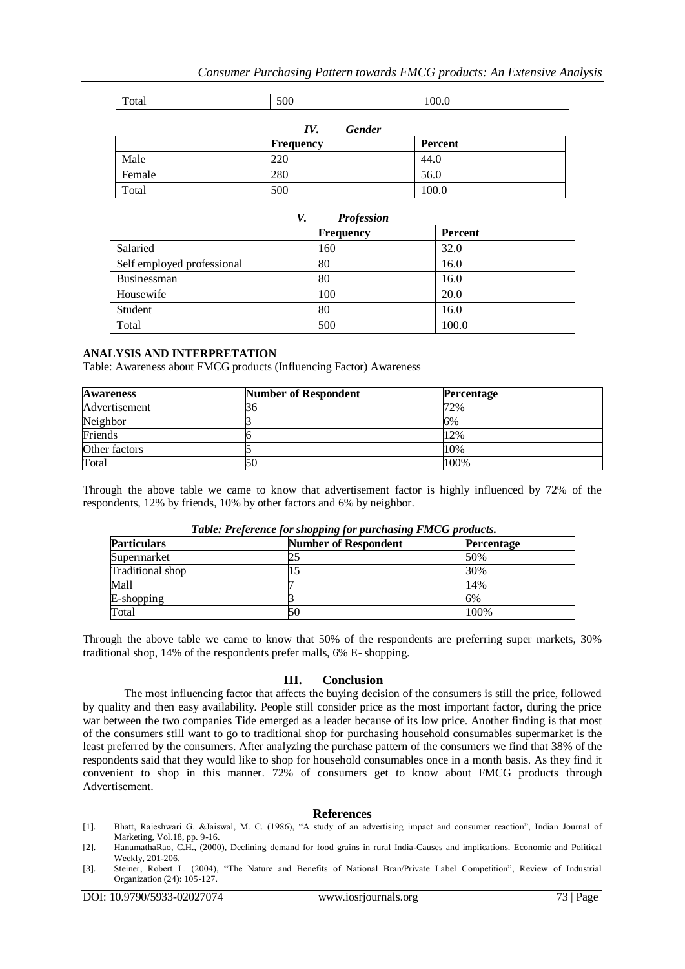# *Consumer Purchasing Pattern towards FMCG products: An Extensive Analysis*

| $\mathbf{r}$<br>Total | 500 | 100.0 |
|-----------------------|-----|-------|

| Gender<br>IV. |           |         |
|---------------|-----------|---------|
|               | Frequency | Percent |
| Male          | 220       | 44.0    |
| Female        | 280       | 56.0    |
| Total         | 500       | 100.0   |

| V.<br><b>Profession</b>    |                  |                |
|----------------------------|------------------|----------------|
|                            | <b>Frequency</b> | <b>Percent</b> |
| Salaried                   | 160              | 32.0           |
| Self employed professional | 80               | 16.0           |
| Businessman                | 80               | 16.0           |
| Housewife                  | 100              | 20.0           |
| Student                    | 80               | 16.0           |
| Total                      | 500              | 100.0          |

#### **ANALYSIS AND INTERPRETATION**

Table: Awareness about FMCG products (Influencing Factor) Awareness

| <b>Awareness</b> | <b>Number of Respondent</b> | Percentage |
|------------------|-----------------------------|------------|
| Advertisement    | 3C                          | 72%        |
| Neighbor         |                             | 6%         |
| Friends          |                             | 12%        |
| Other factors    |                             | 10%        |
| Total            | 50                          | 100%       |

Through the above table we came to know that advertisement factor is highly influenced by 72% of the respondents, 12% by friends, 10% by other factors and 6% by neighbor.

| <b>Particulars</b> | <b>Number of Respondent</b> | <b>Percentage</b> |
|--------------------|-----------------------------|-------------------|
| Supermarket        |                             | 50%               |
| Traditional shop   |                             | 30%               |
| Mall               |                             | 14%               |
| E-shopping         |                             | 6%                |
| Total              |                             | 100%              |

*Table: Preference for shopping for purchasing FMCG products.*

Through the above table we came to know that 50% of the respondents are preferring super markets, 30% traditional shop, 14% of the respondents prefer malls, 6% E- shopping.

## **III. Conclusion**

The most influencing factor that affects the buying decision of the consumers is still the price, followed by quality and then easy availability. People still consider price as the most important factor, during the price war between the two companies Tide emerged as a leader because of its low price. Another finding is that most of the consumers still want to go to traditional shop for purchasing household consumables supermarket is the least preferred by the consumers. After analyzing the purchase pattern of the consumers we find that 38% of the respondents said that they would like to shop for household consumables once in a month basis. As they find it convenient to shop in this manner. 72% of consumers get to know about FMCG products through Advertisement.

## **References**

- [1]. Bhatt, Rajeshwari G. &Jaiswal, M. C. (1986), "A study of an advertising impact and consumer reaction", Indian Journal of Marketing, Vol.18, pp. 9-16.
- [2]. HanumathaRao, C.H., (2000), Declining demand for food grains in rural India-Causes and implications. Economic and Political Weekly, 201-206.
- [3]. Steiner, Robert L. (2004), "The Nature and Benefits of National Bran/Private Label Competition", Review of Industrial Organization (24): 105-127.